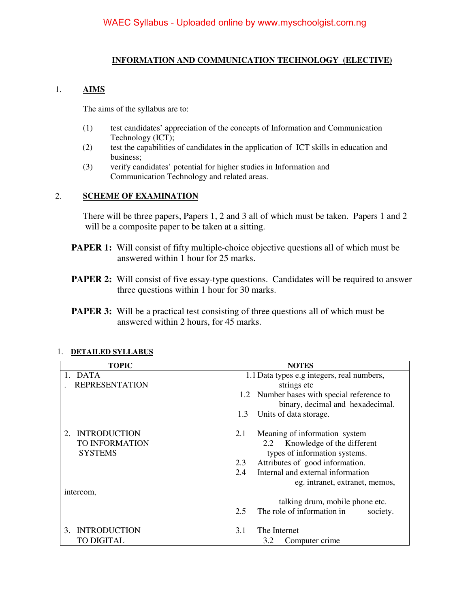### **INFORMATION AND COMMUNICATION TECHNOLOGY (ELECTIVE)**

### 1. **AIMS**

The aims of the syllabus are to:

- (1) test candidates' appreciation of the concepts of Information and Communication Technology (ICT);
- (2) test the capabilities of candidates in the application of ICT skills in education and business;
- (3) verify candidates' potential for higher studies in Information and Communication Technology and related areas.

## 2. **SCHEME OF EXAMINATION**

There will be three papers, Papers 1, 2 and 3 all of which must be taken. Papers 1 and 2 will be a composite paper to be taken at a sitting.

- **PAPER 1:** Will consist of fifty multiple-choice objective questions all of which must be answered within 1 hour for 25 marks.
- **PAPER 2:** Will consist of five essay-type questions. Candidates will be required to answer three questions within 1 hour for 30 marks.
- **PAPER 3:** Will be a practical test consisting of three questions all of which must be answered within 2 hours, for 45 marks.

| <b>TOPIC</b>                                                         | <b>NOTES</b>                                                                                                                                                                                                                       |  |  |  |
|----------------------------------------------------------------------|------------------------------------------------------------------------------------------------------------------------------------------------------------------------------------------------------------------------------------|--|--|--|
| <b>DATA</b>                                                          | 1.1 Data types e.g integers, real numbers,                                                                                                                                                                                         |  |  |  |
| <b>REPRESENTATION</b>                                                | strings etc                                                                                                                                                                                                                        |  |  |  |
|                                                                      | 1.2 Number bases with special reference to<br>binary, decimal and hexadecimal.                                                                                                                                                     |  |  |  |
|                                                                      | Units of data storage.<br>1.3                                                                                                                                                                                                      |  |  |  |
| <b>INTRODUCTION</b><br>2.<br><b>TO INFORMATION</b><br><b>SYSTEMS</b> | Meaning of information system<br>2.1<br>Knowledge of the different<br>2.2<br>types of information systems.<br>Attributes of good information.<br>2.3<br>Internal and external information<br>2.4<br>eg. intranet, extranet, memos, |  |  |  |
| intercom,                                                            |                                                                                                                                                                                                                                    |  |  |  |
|                                                                      | talking drum, mobile phone etc.                                                                                                                                                                                                    |  |  |  |
|                                                                      | The role of information in<br>2.5<br>society.                                                                                                                                                                                      |  |  |  |
| <b>INTRODUCTION</b><br>3.<br>TO DIGITAL                              | The Internet<br>3.1<br>3.2<br>Computer crime                                                                                                                                                                                       |  |  |  |

#### 1. **DETAILED SYLLABUS**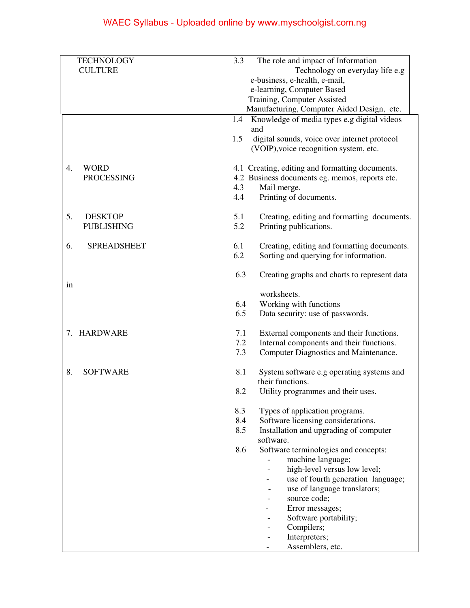# WAEC Syllabus - Uploaded online by www.myschoolgist.com.ng

| <b>TECHNOLOGY</b>        | 3.3<br>The role and impact of Information           |
|--------------------------|-----------------------------------------------------|
| <b>CULTURE</b>           | Technology on everyday life e.g                     |
|                          | e-business, e-health, e-mail,                       |
|                          | e-learning, Computer Based                          |
|                          | Training, Computer Assisted                         |
|                          | Manufacturing, Computer Aided Design, etc.          |
|                          | Knowledge of media types e.g digital videos<br>1.4  |
|                          | and                                                 |
|                          | 1.5<br>digital sounds, voice over internet protocol |
|                          | (VOIP), voice recognition system, etc.              |
| 4.<br><b>WORD</b>        | 4.1 Creating, editing and formatting documents.     |
| <b>PROCESSING</b>        | 4.2 Business documents eg. memos, reports etc.      |
|                          | 4.3<br>Mail merge.                                  |
|                          | 4.4<br>Printing of documents.                       |
|                          |                                                     |
| 5.<br><b>DESKTOP</b>     | 5.1<br>Creating, editing and formatting documents.  |
| <b>PUBLISHING</b>        | 5.2<br>Printing publications.                       |
| 6.<br><b>SPREADSHEET</b> | 6.1<br>Creating, editing and formatting documents.  |
|                          | 6.2<br>Sorting and querying for information.        |
|                          |                                                     |
|                          | 6.3<br>Creating graphs and charts to represent data |
| in                       |                                                     |
|                          | worksheets.                                         |
|                          | 6.4<br>Working with functions                       |
|                          | 6.5<br>Data security: use of passwords.             |
| <b>HARDWARE</b><br>7.    | 7.1<br>External components and their functions.     |
|                          | 7.2<br>Internal components and their functions.     |
|                          | 7.3<br>Computer Diagnostics and Maintenance.        |
|                          |                                                     |
| 8.<br><b>SOFTWARE</b>    | 8.1<br>System software e.g operating systems and    |
|                          | their functions.                                    |
|                          | 8.2<br>Utility programmes and their uses.           |
|                          | 8.3<br>Types of application programs.               |
|                          | Software licensing considerations.<br>8.4           |
|                          | 8.5<br>Installation and upgrading of computer       |
|                          | software.                                           |
|                          | 8.6<br>Software terminologies and concepts:         |
|                          | machine language;                                   |
|                          | high-level versus low level;                        |
|                          | use of fourth generation language;                  |
|                          | use of language translators;                        |
|                          | source code;                                        |
|                          | Error messages;                                     |
|                          | Software portability;                               |
|                          | Compilers;                                          |
|                          | Interpreters;                                       |
|                          | Assemblers, etc.                                    |